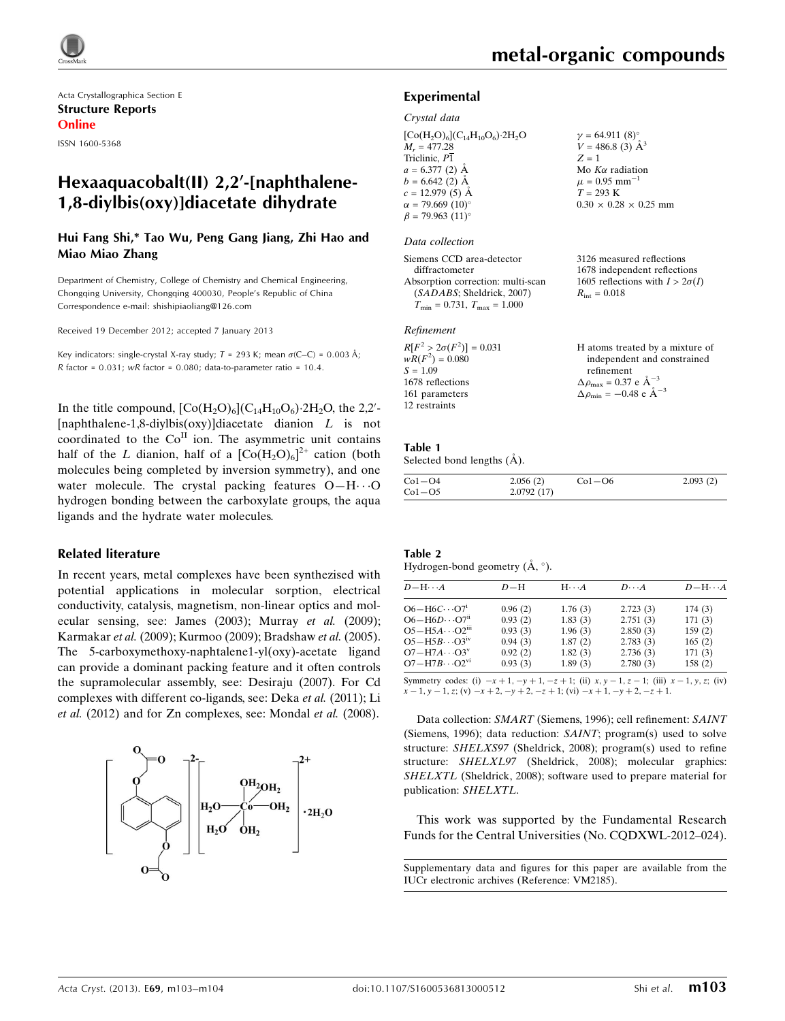

Acta Crystallographica Section E Structure Reports Online ISSN 1600-5368

## 1,8-diylbis(oxy)]diacetate dihydrate

Hui Fang Shi,\* Tao Wu, Peng Gang Jiang, Zhi Hao and Miao Miao Zhang

Department of Chemistry, College of Chemistry and Chemical Engineering, Chongqing University, Chongqing 400030, People's Republic of China Correspondence e-mail: [shishipiaoliang@126.com](https://scripts.iucr.org/cgi-bin/cr.cgi?rm=pdfbb&cnor=vm2185&bbid=BB11)

Received 19 December 2012; accepted 7 January 2013

Key indicators: single-crystal X-ray study;  $T = 293$  K; mean  $\sigma$ (C–C) = 0.003 Å;  $R$  factor = 0.031;  $wR$  factor = 0.080; data-to-parameter ratio = 10.4.

In the title compound,  $[Co(H<sub>2</sub>O)<sub>6</sub>](C<sub>14</sub>H<sub>10</sub>O<sub>6</sub>)·2H<sub>2</sub>O$ , the 2,2'-[naphthalene-1,8-diylbis(oxy)]diacetate dianion  $L$  is not coordinated to the  $Co<sup>H</sup>$  ion. The asymmetric unit contains half of the L dianion, half of a  $[Co(H<sub>2</sub>O)<sub>6</sub>]<sup>2+</sup>$  cation (both molecules being completed by inversion symmetry), and one water molecule. The crystal packing features  $O-H\cdots O$ hydrogen bonding between the carboxylate groups, the aqua ligands and the hydrate water molecules.

#### Related literature

In recent years, metal complexes have been synthezised with potential applications in molecular sorption, electrical conductivity, catalysis, magnetism, non-linear optics and molecular sensing, see: James (2003); Murray et al. (2009); Karmakar et al. (2009); Kurmoo (2009); Bradshaw et al. (2005). The 5-carboxymethoxy-naphtalene1-yl(oxy)-acetate ligand can provide a dominant packing feature and it often controls the supramolecular assembly, see: Desiraju (2007). For Cd complexes with different co-ligands, see: Deka et al. (2011); Li et al. (2012) and for Zn complexes, see: Mondal et al. (2008).



3126 measured reflections 1678 independent reflections 1605 reflections with  $I > 2\sigma(I)$ 

 $R_{\text{int}} = 0.018$ 

#### Experimental

#### Crystal data

 $[Co(H<sub>2</sub>O)<sub>6</sub>](C<sub>14</sub>H<sub>10</sub>O<sub>6</sub>)·2H<sub>2</sub>O$  $M_r = 477.28$ Triclinic, P1  $a = 6.377(2)$  Å  $b = 6.642$  (2) Å  $c = 12.979(5)$  Å  $\alpha = 79.669 \ (10)^{\circ}$  $\beta$  = 79.963 (11)<sup>o</sup>  $v = 64.911 (8)$ °  $V = 486.8$  (3)  $\AA^3$  $Z = 1$ Mo  $K\alpha$  radiation  $\mu = 0.95$  mm<sup>-1</sup>  $T = 293$  K  $0.30 \times 0.28 \times 0.25$  mm

#### Data collection

| Siemens CCD area-detector            |
|--------------------------------------|
| diffractometer                       |
| Absorption correction: multi-scan    |
| (SADABS; Sheldrick, 2007)            |
| $T_{\min} = 0.731, T_{\max} = 1.000$ |

#### Refinement

| $R[F^2 > 2\sigma(F^2)] = 0.031$ | H atoms treated by a mixture of                    |
|---------------------------------|----------------------------------------------------|
| $wR(F^2) = 0.080$               | independent and constrained                        |
| $S = 1.09$                      | refinement                                         |
| 1678 reflections                | $\Delta \rho_{\text{max}} = 0.37 \text{ e A}^{-3}$ |
| 161 parameters                  | $\Delta \rho_{\rm min} = -0.48$ e $\rm \AA^{-3}$   |
| 12 restraints                   |                                                    |

## Table 1

Selected bond lengths  $(\AA)$ .

| $Co1-O4$ | 2.056(2)   | $Co1-O6$ | 2.093(2) |
|----------|------------|----------|----------|
| $Co1-O5$ | 2.0792(17) |          |          |

| Table 2                               |  |  |
|---------------------------------------|--|--|
| Hydrogen-bond geometry $(A, \circ)$ . |  |  |

| $D - H \cdots A$                 | $D-H$   | $H \cdot \cdot \cdot A$ | $D\cdots A$ | $D - H \cdots A$ |
|----------------------------------|---------|-------------------------|-------------|------------------|
| $O6-H6C\cdots O7i$               | 0.96(2) | 1.76(3)                 | 2.723(3)    | 174(3)           |
| $O6 - H6D \cdots O7ii$           | 0.93(2) | 1.83(3)                 | 2.751(3)    | 171(3)           |
| $O5-H5A\cdots O2$ <sup>iii</sup> | 0.93(3) | 1.96(3)                 | 2.850(3)    | 159(2)           |
| $O5-H5B\cdots O3^W$              | 0.94(3) | 1.87(2)                 | 2.783(3)    | 165(2)           |
| $O7 - H7A \cdots O3^v$           | 0.92(2) | 1.82(3)                 | 2.736(3)    | 171(3)           |
| $O7 - H7B \cdots O2^{vi}$        | 0.93(3) | 1.89(3)                 | 2.780(3)    | 158(2)           |
|                                  |         |                         |             |                  |

Symmetry codes: (i)  $-x + 1$ ,  $-y + 1$ ,  $-z + 1$ ; (ii)  $x, y - 1, z - 1$ ; (iii)  $x - 1, y, z$ ; (iv)  $x - 1$ ,  $y - 1$ , z; (v)  $-x + 2$ ,  $-y + 2$ ,  $-z + 1$ ; (vi)  $-x + 1$ ,  $-y + 2$ ,  $-z + 1$ .

Data collection: SMART (Siemens, 1996); cell refinement: SAINT (Siemens, 1996); data reduction: SAINT; program(s) used to solve structure: SHELXS97 (Sheldrick, 2008); program(s) used to refine structure: SHELXL97 (Sheldrick, 2008); molecular graphics: SHELXTL (Sheldrick, 2008); software used to prepare material for publication: SHELXTL.

This work was supported by the Fundamental Research Funds for the Central Universities (No. CQDXWL-2012–024).

Supplementary data and figures for this paper are available from the IUCr electronic archives (Reference: VM2185).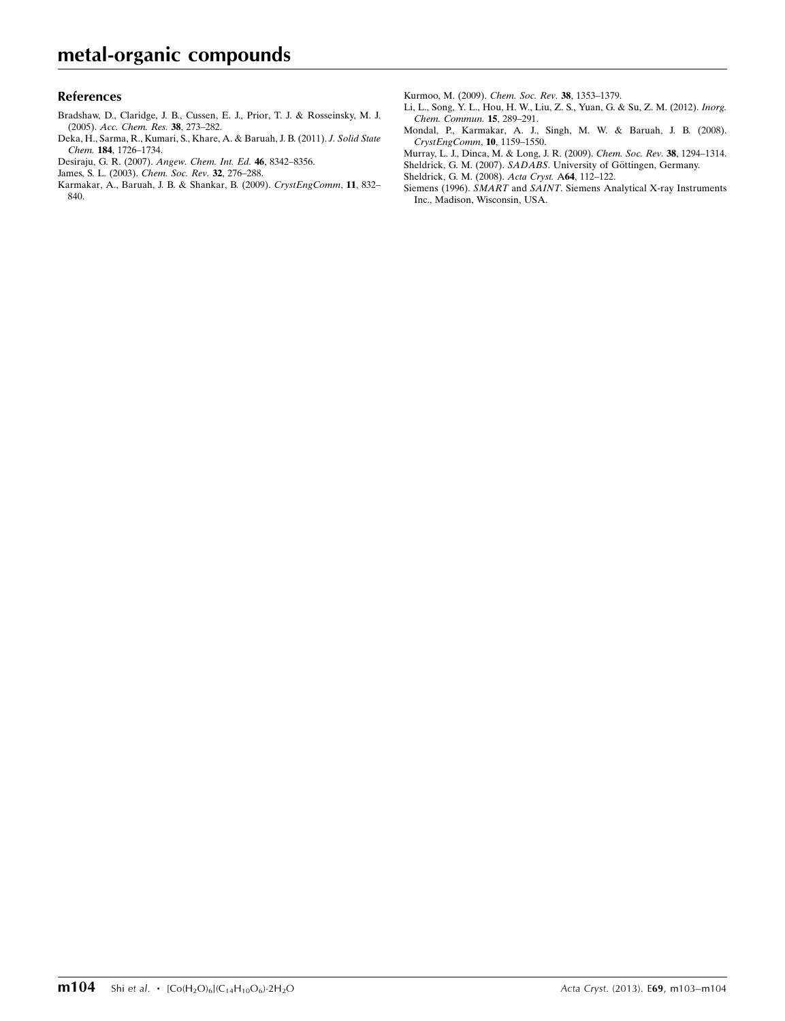## References

- [Bradshaw, D., Claridge, J. B., Cussen, E. J., Prior, T. J. & Rosseinsky, M. J.](https://scripts.iucr.org/cgi-bin/cr.cgi?rm=pdfbb&cnor=vm2185&bbid=BB1) (2005). [Acc. Chem. Res.](https://scripts.iucr.org/cgi-bin/cr.cgi?rm=pdfbb&cnor=vm2185&bbid=BB1) 38, 273–282.
- [Deka, H., Sarma, R., Kumari, S., Khare, A. & Baruah, J. B. \(2011\).](https://scripts.iucr.org/cgi-bin/cr.cgi?rm=pdfbb&cnor=vm2185&bbid=BB2) J. Solid State Chem. 184[, 1726–1734.](https://scripts.iucr.org/cgi-bin/cr.cgi?rm=pdfbb&cnor=vm2185&bbid=BB2)
- [Desiraju, G. R. \(2007\).](https://scripts.iucr.org/cgi-bin/cr.cgi?rm=pdfbb&cnor=vm2185&bbid=BB3) Angew. Chem. Int. Ed. 46, 8342–8356.
- [James, S. L. \(2003\).](https://scripts.iucr.org/cgi-bin/cr.cgi?rm=pdfbb&cnor=vm2185&bbid=BB4) Chem. Soc. Rev. 32, 276–288.
- [Karmakar, A., Baruah, J. B. & Shankar, B. \(2009\).](https://scripts.iucr.org/cgi-bin/cr.cgi?rm=pdfbb&cnor=vm2185&bbid=BB5) CrystEngComm, 11, 832– [840.](https://scripts.iucr.org/cgi-bin/cr.cgi?rm=pdfbb&cnor=vm2185&bbid=BB5)

[Kurmoo, M. \(2009\).](https://scripts.iucr.org/cgi-bin/cr.cgi?rm=pdfbb&cnor=vm2185&bbid=BB6) Chem. Soc. Rev. 38, 1353–1379.

- [Li, L., Song, Y. L., Hou, H. W., Liu, Z. S., Yuan, G. & Su, Z. M. \(2012\).](https://scripts.iucr.org/cgi-bin/cr.cgi?rm=pdfbb&cnor=vm2185&bbid=BB7) Inorg. [Chem. Commun.](https://scripts.iucr.org/cgi-bin/cr.cgi?rm=pdfbb&cnor=vm2185&bbid=BB7) 15, 289–291.
- [Mondal, P., Karmakar, A. J., Singh, M. W. & Baruah, J. B. \(2008\).](https://scripts.iucr.org/cgi-bin/cr.cgi?rm=pdfbb&cnor=vm2185&bbid=BB8) [CrystEngComm](https://scripts.iucr.org/cgi-bin/cr.cgi?rm=pdfbb&cnor=vm2185&bbid=BB8), 10, 1159–1550.
- [Murray, L. J., Dinca, M. & Long, J. R. \(2009\).](https://scripts.iucr.org/cgi-bin/cr.cgi?rm=pdfbb&cnor=vm2185&bbid=BB9) Chem. Soc. Rev. 38, 1294–1314.
- Sheldrick, G. M. (2007). SADABS. University of Göttingen, Germany.
- [Sheldrick, G. M. \(2008\).](https://scripts.iucr.org/cgi-bin/cr.cgi?rm=pdfbb&cnor=vm2185&bbid=BB10) Acta Cryst. A64, 112–122.
- Siemens (1996). SMART and SAINT[. Siemens Analytical X-ray Instruments](https://scripts.iucr.org/cgi-bin/cr.cgi?rm=pdfbb&cnor=vm2185&bbid=BB11) [Inc., Madison, Wisconsin, USA.](https://scripts.iucr.org/cgi-bin/cr.cgi?rm=pdfbb&cnor=vm2185&bbid=BB11)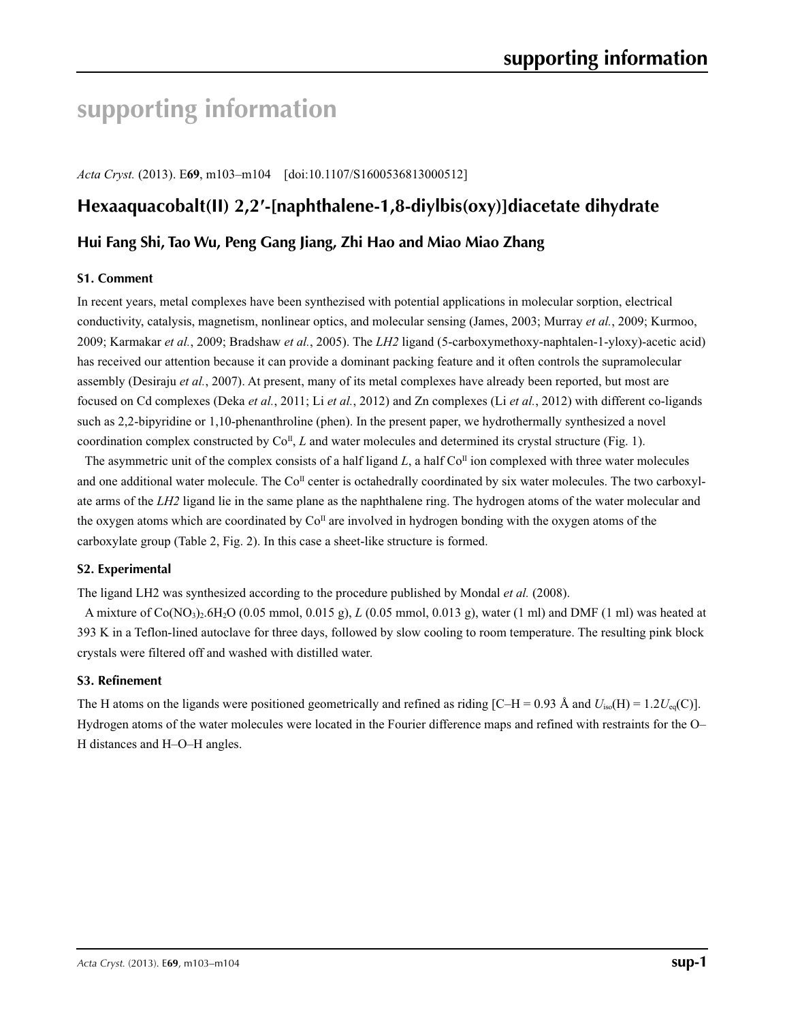# **supporting information**

*Acta Cryst.* (2013). E**69**, m103–m104 [doi:10.1107/S1600536813000512]

## **Hexaaquacobalt(II) 2,2′-[naphthalene-1,8-diylbis(oxy)]diacetate dihydrate**

## **Hui Fang Shi, Tao Wu, Peng Gang Jiang, Zhi Hao and Miao Miao Zhang**

## **S1. Comment**

In recent years, metal complexes have been synthezised with potential applications in molecular sorption, electrical conductivity, catalysis, magnetism, nonlinear optics, and molecular sensing (James, 2003; Murray *et al.*, 2009; Kurmoo, 2009; Karmakar *et al.*, 2009; Bradshaw *et al.*, 2005). The *LH2* ligand (5-carboxymethoxy-naphtalen-1-yloxy)-acetic acid) has received our attention because it can provide a dominant packing feature and it often controls the supramolecular assembly (Desiraju *et al.*, 2007). At present, many of its metal complexes have already been reported, but most are focused on Cd complexes (Deka *et al.*, 2011; Li *et al.*, 2012) and Zn complexes (Li *et al.*, 2012) with different co-ligands such as 2,2-bipyridine or 1,10-phenanthroline (phen). In the present paper, we hydrothermally synthesized a novel coordination complex constructed by Co<sup>II</sup>, *L* and water molecules and determined its crystal structure (Fig. 1).

The asymmetric unit of the complex consists of a half ligand  $L$ , a half  $Co<sup>\Pi</sup>$  ion complexed with three water molecules and one additional water molecule. The  $Co<sup>II</sup>$  center is octahedrally coordinated by six water molecules. The two carboxylate arms of the *LH2* ligand lie in the same plane as the naphthalene ring. The hydrogen atoms of the water molecular and the oxygen atoms which are coordinated by  $Co<sup>\Pi</sup>$  are involved in hydrogen bonding with the oxygen atoms of the carboxylate group (Table 2, Fig. 2). In this case a sheet-like structure is formed.

#### **S2. Experimental**

The ligand LH2 was synthesized according to the procedure published by Mondal *et al.* (2008).

A mixture of Co(NO3)2.6H2O (0.05 mmol, 0.015 g), *L* (0.05 mmol, 0.013 g), water (1 ml) and DMF (1 ml) was heated at 393 K in a Teflon-lined autoclave for three days, followed by slow cooling to room temperature. The resulting pink block crystals were filtered off and washed with distilled water.

#### **S3. Refinement**

The H atoms on the ligands were positioned geometrically and refined as riding [C–H = 0.93 Å and  $U_{\text{iso}}(H) = 1.2U_{\text{eq}}(C)$ ]. Hydrogen atoms of the water molecules were located in the Fourier difference maps and refined with restraints for the O– H distances and H–O–H angles.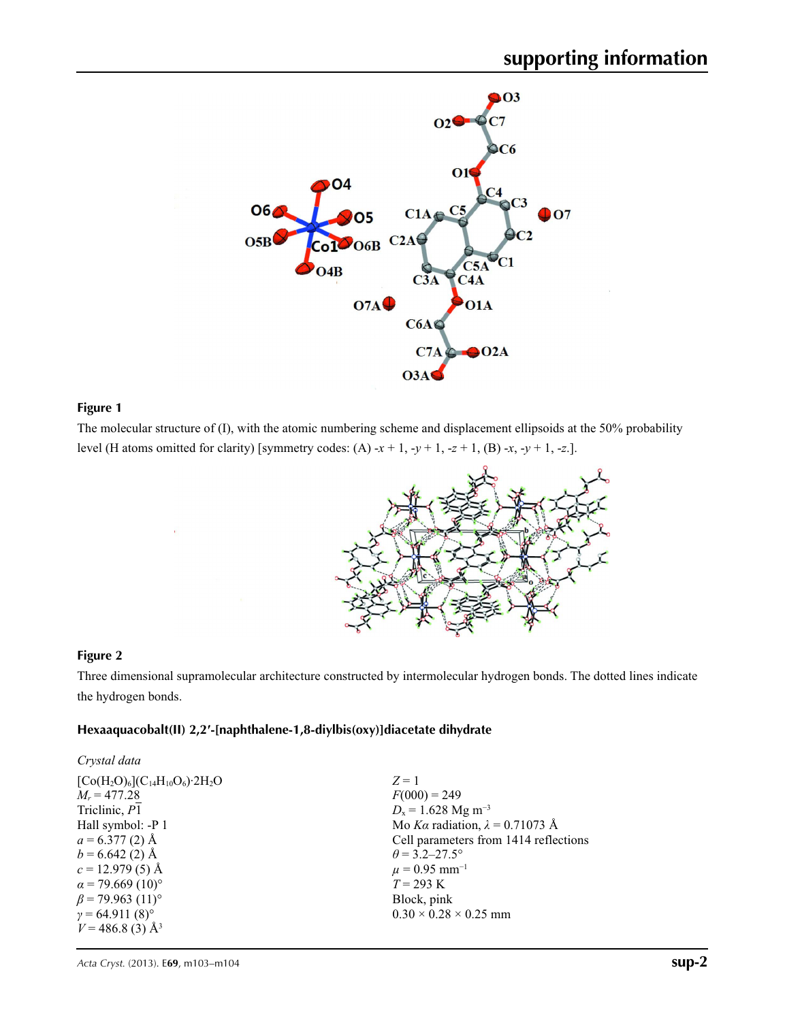

## **Figure 1**

The molecular structure of (I), with the atomic numbering scheme and displacement ellipsoids at the 50% probability level (H atoms omitted for clarity) [symmetry codes: (A)  $-x + 1$ ,  $-y + 1$ ,  $-z + 1$ , (B)  $-x$ ,  $-y + 1$ ,  $-z$ .].



## **Figure 2**

Three dimensional supramolecular architecture constructed by intermolecular hydrogen bonds. The dotted lines indicate the hydrogen bonds.

#### **Hexaaquacobalt(II) 2,2′-[naphthalene-1,8-diylbis(oxy)]diacetate dihydrate**

| Crystal data                       |                                        |
|------------------------------------|----------------------------------------|
| $[Co(H2O)6](C14H10O6)·2H2O$        | $Z=1$                                  |
| $M_r = 477.28$                     | $F(000) = 249$                         |
| Triclinic, P1                      | $D_x = 1.628$ Mg m <sup>-3</sup>       |
| Hall symbol: -P 1                  | Mo Ka radiation, $\lambda = 0.71073$ Å |
| $a = 6.377(2)$ Å                   | Cell parameters from 1414 reflections  |
| $b = 6.642(2)$ Å                   | $\theta$ = 3.2–27.5°                   |
| $c = 12.979(5)$ Å                  | $\mu$ = 0.95 mm <sup>-1</sup>          |
| $\alpha$ = 79.669 (10)°            | $T = 293 \text{ K}$                    |
| $\beta$ = 79.963 (11) <sup>o</sup> | Block, pink                            |
| $\gamma = 64.911(8)^{\circ}$       | $0.30 \times 0.28 \times 0.25$ mm      |
| $V = 486.8$ (3) Å <sup>3</sup>     |                                        |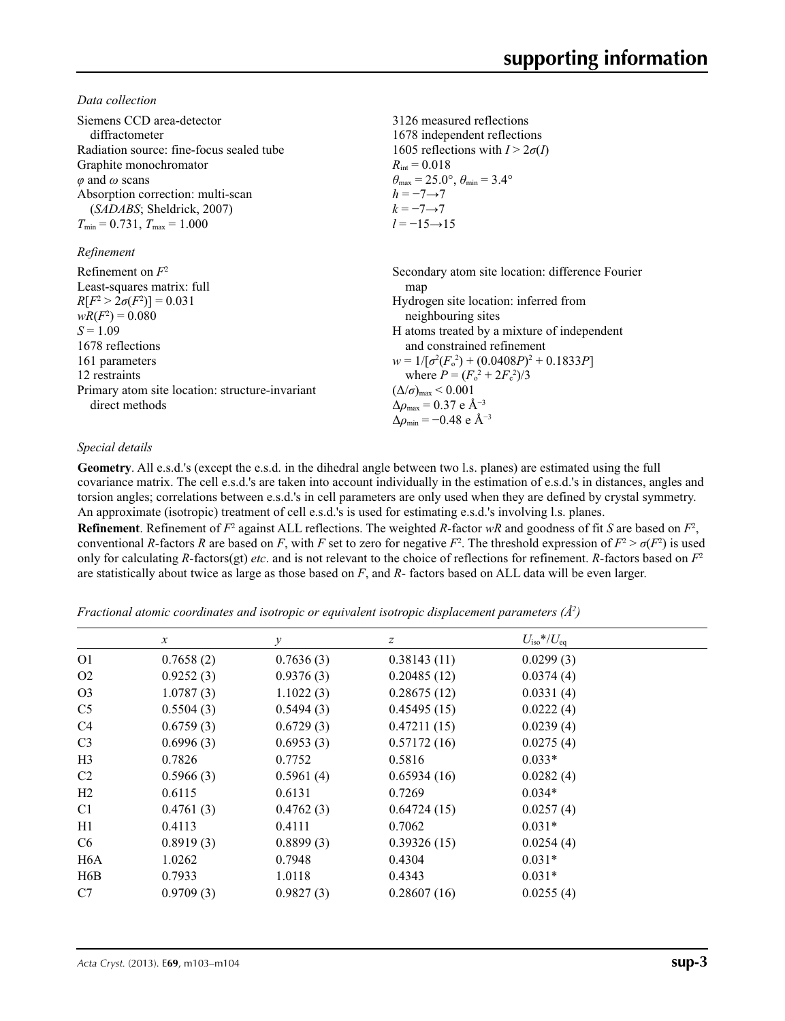*Data collection*

| Siemens CCD area-detector<br>diffractometer<br>Radiation source: fine-focus sealed tube<br>Graphite monochromator<br>$\varphi$ and $\omega$ scans<br>Absorption correction: multi-scan<br>( <i>SADABS</i> ; Sheldrick, 2007)<br>$T_{\min}$ = 0.731, $T_{\max}$ = 1.000 | 3126 measured reflections<br>1678 independent reflections<br>1605 reflections with $I > 2\sigma(I)$<br>$R_{\rm int} = 0.018$<br>$\theta_{\text{max}} = 25.0^{\circ}, \theta_{\text{min}} = 3.4^{\circ}$<br>$h = -7 \rightarrow 7$<br>$k=-7 \rightarrow 7$<br>$l = -15 \rightarrow 15$                                                                                                                                                       |
|------------------------------------------------------------------------------------------------------------------------------------------------------------------------------------------------------------------------------------------------------------------------|---------------------------------------------------------------------------------------------------------------------------------------------------------------------------------------------------------------------------------------------------------------------------------------------------------------------------------------------------------------------------------------------------------------------------------------------|
| Refinement                                                                                                                                                                                                                                                             |                                                                                                                                                                                                                                                                                                                                                                                                                                             |
| Refinement on $F^2$<br>Least-squares matrix: full<br>$R[F^2 > 2\sigma(F^2)] = 0.031$<br>$wR(F^2) = 0.080$<br>$S = 1.09$<br>1678 reflections<br>161 parameters<br>12 restraints<br>Primary atom site location: structure-invariant<br>direct methods                    | Secondary atom site location: difference Fourier<br>map<br>Hydrogen site location: inferred from<br>neighbouring sites<br>H atoms treated by a mixture of independent<br>and constrained refinement<br>$w = 1/[\sigma^2(F_0^2) + (0.0408P)^2 + 0.1833P]$<br>where $P = (F_0^2 + 2F_1^2)/3$<br>$(\Delta/\sigma)_{\text{max}}$ < 0.001<br>$\Delta\rho_{\rm max}$ = 0.37 e Å <sup>-3</sup><br>$\Delta\rho_{\rm min} = -0.48$ e Å <sup>-3</sup> |

## *Special details*

**Geometry**. All e.s.d.'s (except the e.s.d. in the dihedral angle between two l.s. planes) are estimated using the full covariance matrix. The cell e.s.d.'s are taken into account individually in the estimation of e.s.d.'s in distances, angles and torsion angles; correlations between e.s.d.'s in cell parameters are only used when they are defined by crystal symmetry. An approximate (isotropic) treatment of cell e.s.d.'s is used for estimating e.s.d.'s involving l.s. planes.

**Refinement**. Refinement of  $F^2$  against ALL reflections. The weighted *R*-factor  $wR$  and goodness of fit *S* are based on  $F^2$ , conventional *R*-factors *R* are based on *F*, with *F* set to zero for negative  $F^2$ . The threshold expression of  $F^2 > \sigma(F^2)$  is used only for calculating *R*-factors(gt) *etc*. and is not relevant to the choice of reflections for refinement. *R*-factors based on *F*<sup>2</sup> are statistically about twice as large as those based on *F*, and *R*- factors based on ALL data will be even larger.

*Fractional atomic coordinates and isotropic or equivalent isotropic displacement parameters (Å2 )*

|                  | $\mathcal{X}$ | $\mathcal V$ | $\boldsymbol{Z}$ | $U_{\rm iso}*/U_{\rm eq}$ |  |
|------------------|---------------|--------------|------------------|---------------------------|--|
| O <sub>1</sub>   | 0.7658(2)     | 0.7636(3)    | 0.38143(11)      | 0.0299(3)                 |  |
| O <sub>2</sub>   | 0.9252(3)     | 0.9376(3)    | 0.20485(12)      | 0.0374(4)                 |  |
| O <sub>3</sub>   | 1.0787(3)     | 1.1022(3)    | 0.28675(12)      | 0.0331(4)                 |  |
| C <sub>5</sub>   | 0.5504(3)     | 0.5494(3)    | 0.45495(15)      | 0.0222(4)                 |  |
| C4               | 0.6759(3)     | 0.6729(3)    | 0.47211(15)      | 0.0239(4)                 |  |
| C <sub>3</sub>   | 0.6996(3)     | 0.6953(3)    | 0.57172(16)      | 0.0275(4)                 |  |
| H <sub>3</sub>   | 0.7826        | 0.7752       | 0.5816           | $0.033*$                  |  |
| C2               | 0.5966(3)     | 0.5961(4)    | 0.65934(16)      | 0.0282(4)                 |  |
| H2               | 0.6115        | 0.6131       | 0.7269           | $0.034*$                  |  |
| C <sub>1</sub>   | 0.4761(3)     | 0.4762(3)    | 0.64724(15)      | 0.0257(4)                 |  |
| H1               | 0.4113        | 0.4111       | 0.7062           | $0.031*$                  |  |
| C <sub>6</sub>   | 0.8919(3)     | 0.8899(3)    | 0.39326(15)      | 0.0254(4)                 |  |
| H <sub>6</sub> A | 1.0262        | 0.7948       | 0.4304           | $0.031*$                  |  |
| H6B              | 0.7933        | 1.0118       | 0.4343           | $0.031*$                  |  |
| C7               | 0.9709(3)     | 0.9827(3)    | 0.28607(16)      | 0.0255(4)                 |  |
|                  |               |              |                  |                           |  |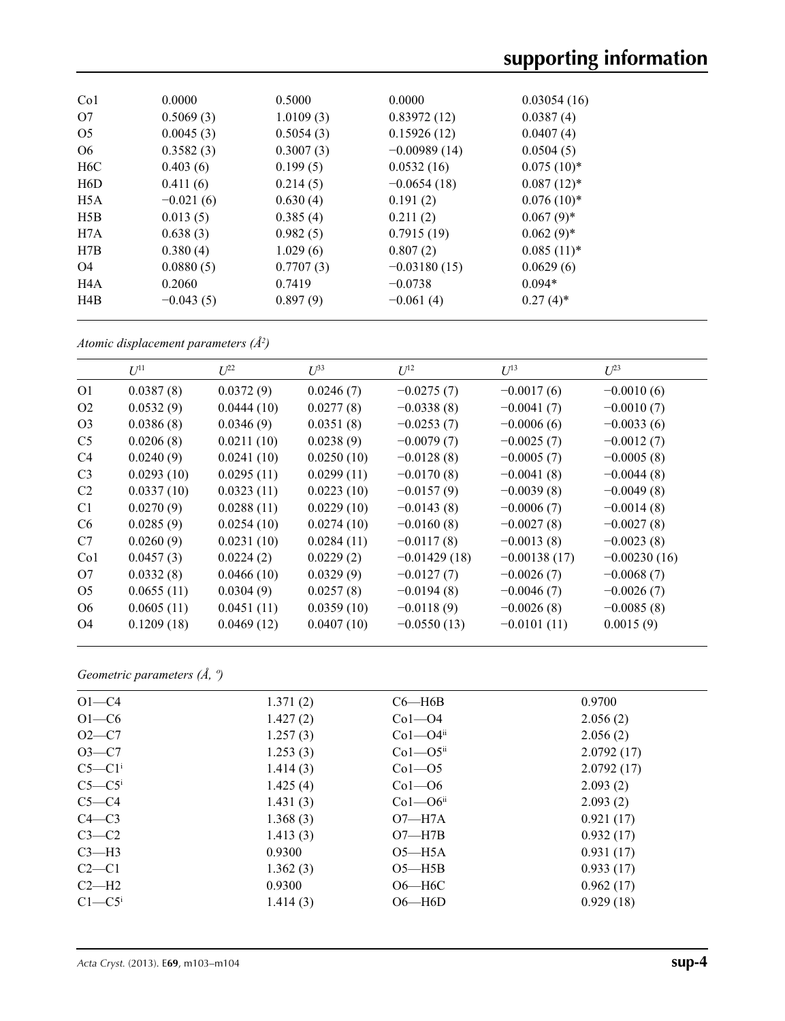| Co <sub>1</sub>  | 0.0000      | 0.5000    | 0.0000         | 0.03054(16)   |
|------------------|-------------|-----------|----------------|---------------|
| O7               | 0.5069(3)   | 1.0109(3) | 0.83972(12)    | 0.0387(4)     |
| O <sub>5</sub>   | 0.0045(3)   | 0.5054(3) | 0.15926(12)    | 0.0407(4)     |
| O <sub>6</sub>   | 0.3582(3)   | 0.3007(3) | $-0.00989(14)$ | 0.0504(5)     |
| H <sub>6</sub> C | 0.403(6)    | 0.199(5)  | 0.0532(16)     | $0.075(10)^*$ |
| H6D              | 0.411(6)    | 0.214(5)  | $-0.0654(18)$  | $0.087(12)^*$ |
| H <sub>5</sub> A | $-0.021(6)$ | 0.630(4)  | 0.191(2)       | $0.076(10)*$  |
| H5B              | 0.013(5)    | 0.385(4)  | 0.211(2)       | $0.067(9)$ *  |
| H7A              | 0.638(3)    | 0.982(5)  | 0.7915(19)     | $0.062(9)$ *  |
| H7B              | 0.380(4)    | 1.029(6)  | 0.807(2)       | $0.085(11)^*$ |
| O4               | 0.0880(5)   | 0.7707(3) | $-0.03180(15)$ | 0.0629(6)     |
| H <sub>4</sub> A | 0.2060      | 0.7419    | $-0.0738$      | $0.094*$      |
| H4B              | $-0.043(5)$ | 0.897(9)  | $-0.061(4)$    | $0.27(4)$ *   |

*Atomic displacement parameters (Å2 )*

|                 | $U^{11}$   | $L^{22}$   | $U^{33}$   | $U^{12}$       | $U^{13}$       | $U^{23}$       |
|-----------------|------------|------------|------------|----------------|----------------|----------------|
| O <sub>1</sub>  | 0.0387(8)  | 0.0372(9)  | 0.0246(7)  | $-0.0275(7)$   | $-0.0017(6)$   | $-0.0010(6)$   |
| O <sub>2</sub>  | 0.0532(9)  | 0.0444(10) | 0.0277(8)  | $-0.0338(8)$   | $-0.0041(7)$   | $-0.0010(7)$   |
| O <sub>3</sub>  | 0.0386(8)  | 0.0346(9)  | 0.0351(8)  | $-0.0253(7)$   | $-0.0006(6)$   | $-0.0033(6)$   |
| C <sub>5</sub>  | 0.0206(8)  | 0.0211(10) | 0.0238(9)  | $-0.0079(7)$   | $-0.0025(7)$   | $-0.0012(7)$   |
| C <sub>4</sub>  | 0.0240(9)  | 0.0241(10) | 0.0250(10) | $-0.0128(8)$   | $-0.0005(7)$   | $-0.0005(8)$   |
| C <sub>3</sub>  | 0.0293(10) | 0.0295(11) | 0.0299(11) | $-0.0170(8)$   | $-0.0041(8)$   | $-0.0044(8)$   |
| C <sub>2</sub>  | 0.0337(10) | 0.0323(11) | 0.0223(10) | $-0.0157(9)$   | $-0.0039(8)$   | $-0.0049(8)$   |
| C <sub>1</sub>  | 0.0270(9)  | 0.0288(11) | 0.0229(10) | $-0.0143(8)$   | $-0.0006(7)$   | $-0.0014(8)$   |
| C <sub>6</sub>  | 0.0285(9)  | 0.0254(10) | 0.0274(10) | $-0.0160(8)$   | $-0.0027(8)$   | $-0.0027(8)$   |
| C7              | 0.0260(9)  | 0.0231(10) | 0.0284(11) | $-0.0117(8)$   | $-0.0013(8)$   | $-0.0023(8)$   |
| Co <sub>1</sub> | 0.0457(3)  | 0.0224(2)  | 0.0229(2)  | $-0.01429(18)$ | $-0.00138(17)$ | $-0.00230(16)$ |
| O7              | 0.0332(8)  | 0.0466(10) | 0.0329(9)  | $-0.0127(7)$   | $-0.0026(7)$   | $-0.0068(7)$   |
| O <sub>5</sub>  | 0.0655(11) | 0.0304(9)  | 0.0257(8)  | $-0.0194(8)$   | $-0.0046(7)$   | $-0.0026(7)$   |
| O <sub>6</sub>  | 0.0605(11) | 0.0451(11) | 0.0359(10) | $-0.0118(9)$   | $-0.0026(8)$   | $-0.0085(8)$   |
| O4              | 0.1209(18) | 0.0469(12) | 0.0407(10) | $-0.0550(13)$  | $-0.0101(11)$  | 0.0015(9)      |
|                 |            |            |            |                |                |                |

*Geometric parameters (Å, º)*

| $O1-C4$              | 1.371(2) | $C6 - H6B$               | 0.9700     |
|----------------------|----------|--------------------------|------------|
| $O1-C6$              | 1.427(2) | $Co1 - O4$               | 2.056(2)   |
| $O2-C7$              | 1.257(3) | $Co1 - O4ii$             | 2.056(2)   |
| $O3 - C7$            | 1.253(3) | $Co1 - O5$ <sup>ii</sup> | 2.0792(17) |
| $C5-C1$ <sup>i</sup> | 1.414(3) | $Co1 - O5$               | 2.0792(17) |
| $C5-C5$              | 1.425(4) | $Co1 - O6$               | 2.093(2)   |
| $C5-C4$              | 1.431(3) | $Co1 - O6$ <sup>ii</sup> | 2.093(2)   |
| $C4 - C3$            | 1.368(3) | $O7 - H7A$               | 0.921(17)  |
| $C3-C2$              | 1.413(3) | $O7 - H7B$               | 0.932(17)  |
| $C3-H3$              | 0.9300   | $O5 - H5A$               | 0.931(17)  |
| $C2-C1$              | 1.362(3) | $O5 - H5B$               | 0.933(17)  |
| $C2-H2$              | 0.9300   | $O6 - H6C$               | 0.962(17)  |
| $C1 - C5$            | 1.414(3) | $O6 - H6D$               | 0.929(18)  |
|                      |          |                          |            |